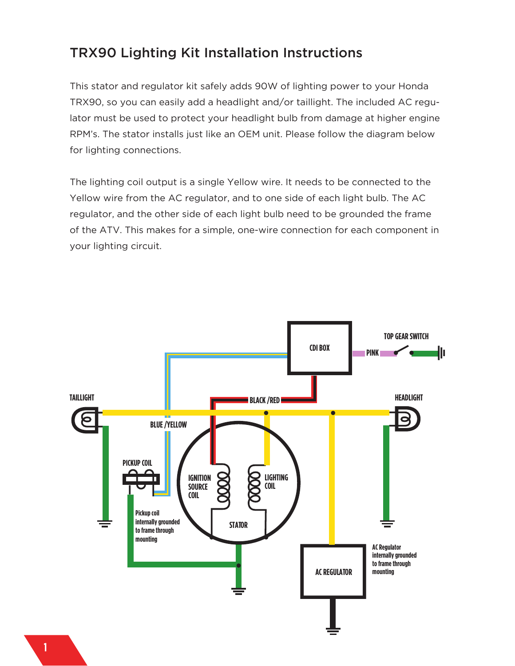## TRX90 Lighting Kit Installation Instructions

This stator and regulator kit safely adds 90W of lighting power to your Honda TRX90, so you can easily add a headlight and/or taillight. The included AC regulator must be used to protect your headlight bulb from damage at higher engine RPM's. The stator installs just like an OEM unit. Please follow the diagram below for lighting connections.

The lighting coil output is a single Yellow wire. It needs to be connected to the Yellow wire from the AC regulator, and to one side of each light bulb. The AC regulator, and the other side of each light bulb need to be grounded the frame of the ATV. This makes for a simple, one-wire connection for each component in your lighting circuit.